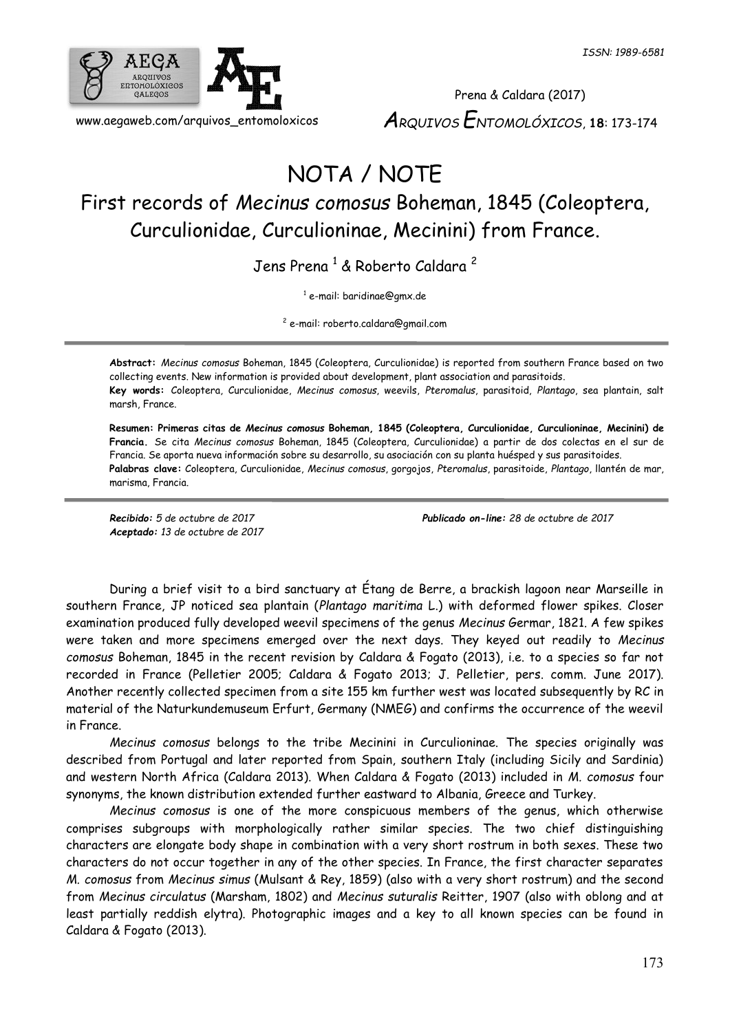

Prena & Caldara (2017) *ARQUIVOS ENTOMOLÓXICOS*, **18**: 173-174

## NOTA / NOTE

## First records of *Mecinus comosus* Boheman, 1845 (Coleoptera, Curculionidae, Curculioninae, Mecinini) from France.

Jens Prena<sup>1</sup> & Roberto Caldara<sup>2</sup>

1 e-mail: baridinae@gmx.de

2 e-mail: roberto.caldara@gmail.com

**Abstract:** *Mecinus comosus* Boheman, 1845 (Coleoptera, Curculionidae) is reported from southern France based on two collecting events. New information is provided about development, plant association and parasitoids. **Key words:** Coleoptera, Curculionidae, *Mecinus comosus*, weevils, *Pteromalus*, parasitoid, *Plantago*, sea plantain, salt marsh, France.

**Resumen: Primeras citas de** *Mecinus comosus* **Boheman, 1845 (Coleoptera, Curculionidae, Curculioninae, Mecinini) de Francia.** Se cita *Mecinus comosus* Boheman, 1845 (Coleoptera, Curculionidae) a partir de dos colectas en el sur de Francia. Se aporta nueva información sobre su desarrollo, su asociación con su planta huésped y sus parasitoides. **Palabras clave:** Coleoptera, Curculionidae, *Mecinus comosus*, gorgojos, *Pteromalus*, parasitoide, *Plantago*, llantén de mar, marisma, Francia.

*Aceptado: 13 de octubre de 2017*

*Recibido: 5 de octubre de 2017 Publicado on-line: 28 de octubre de 2017*

During a brief visit to a bird sanctuary at Étang de Berre, a brackish lagoon near Marseille in southern France, JP noticed sea plantain (*Plantago maritima* L.) with deformed flower spikes. Closer examination produced fully developed weevil specimens of the genus *Mecinus* Germar, 1821. A few spikes were taken and more specimens emerged over the next days. They keyed out readily to *Mecinus comosus* Boheman, 1845 in the recent revision by Caldara & Fogato (2013), i.e. to a species so far not recorded in France (Pelletier 2005; Caldara & Fogato 2013; J. Pelletier, pers. comm. June 2017). Another recently collected specimen from a site 155 km further west was located subsequently by RC in material of the Naturkundemuseum Erfurt, Germany (NMEG) and confirms the occurrence of the weevil in France.

*Mecinus comosus* belongs to the tribe Mecinini in Curculioninae. The species originally was described from Portugal and later reported from Spain, southern Italy (including Sicily and Sardinia) and western North Africa (Caldara 2013). When Caldara & Fogato (2013) included in *M. comosus* four synonyms, the known distribution extended further eastward to Albania, Greece and Turkey.

*Mecinus comosus* is one of the more conspicuous members of the genus, which otherwise comprises subgroups with morphologically rather similar species. The two chief distinguishing characters are elongate body shape in combination with a very short rostrum in both sexes. These two characters do not occur together in any of the other species. In France, the first character separates *M. comosus* from *Mecinus simus* (Mulsant & Rey, 1859) (also with a very short rostrum) and the second from *Mecinus circulatus* (Marsham, 1802) and *Mecinus suturalis* Reitter, 1907 (also with oblong and at least partially reddish elytra). Photographic images and a key to all known species can be found in Caldara & Fogato (2013).